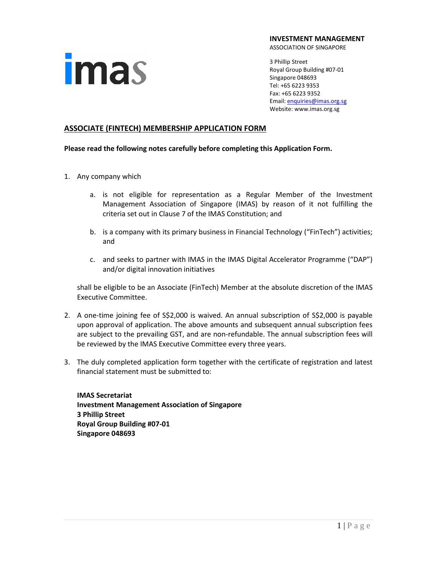### **imas**

**INVESTMENT MANAGEMENT**

ASSOCIATION OF SINGAPORE

3 Phillip Street Royal Group Building #07-01 Singapore 048693 Tel: +65 6223 9353 Fax: +65 6223 9352 Email[: enquiries@imas.org.sg](mailto:enquiries@imas.org.sg) Website: www.imas.org.sg

### **ASSOCIATE (FINTECH) MEMBERSHIP APPLICATION FORM**

### **Please read the following notes carefully before completing this Application Form.**

- 1. Any company which
	- a. is not eligible for representation as a Regular Member of the Investment Management Association of Singapore (IMAS) by reason of it not fulfilling the criteria set out in Clause 7 of the IMAS Constitution; and
	- b. is a company with its primary business in Financial Technology ("FinTech") activities; and
	- c. and seeks to partner with IMAS in the IMAS Digital Accelerator Programme ("DAP") and/or digital innovation initiatives

shall be eligible to be an Associate (FinTech) Member at the absolute discretion of the IMAS Executive Committee.

- 2. A one-time joining fee of S\$2,000 is waived. An annual subscription of S\$2,000 is payable upon approval of application. The above amounts and subsequent annual subscription fees are subject to the prevailing GST, and are non-refundable. The annual subscription fees will be reviewed by the IMAS Executive Committee every three years.
- 3. The duly completed application form together with the certificate of registration and latest financial statement must be submitted to:

**IMAS Secretariat Investment Management Association of Singapore 3 Phillip Street Royal Group Building #07-01 Singapore 048693**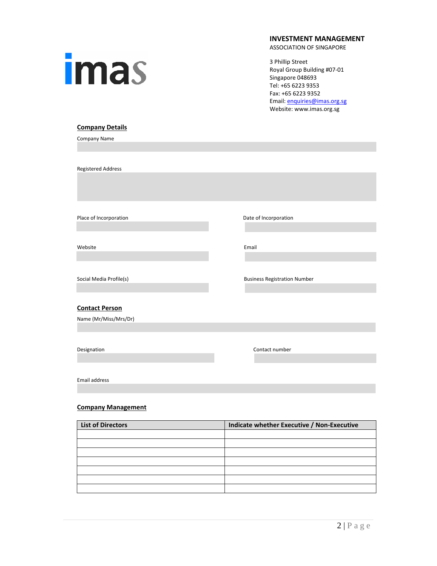# imas

### **INVESTMENT MANAGEMENT**

ASSOCIATION OF SINGAPORE

3 Phillip Street Royal Group Building #07-01 Singapore 048693 Tel: +65 6223 9353 Fax: +65 6223 9352 Email[: enquiries@imas.org.sg](mailto:enquiries@imas.org.sg) Website: www.imas.org.sg

### **Company Details**

Company Name

Registered Address

Place of Incorporation **Date of Incorporation** 

Website **Email** 

Social Media Profile(s) and Social Media Profile(s)

### **Contact Person**

Name (Mr/Miss/Mrs/Dr)

Designation Contact number

Email address

### **Company Management**

| <b>List of Directors</b> | Indicate whether Executive / Non-Executive |
|--------------------------|--------------------------------------------|
|                          |                                            |
|                          |                                            |
|                          |                                            |
|                          |                                            |
|                          |                                            |
|                          |                                            |
|                          |                                            |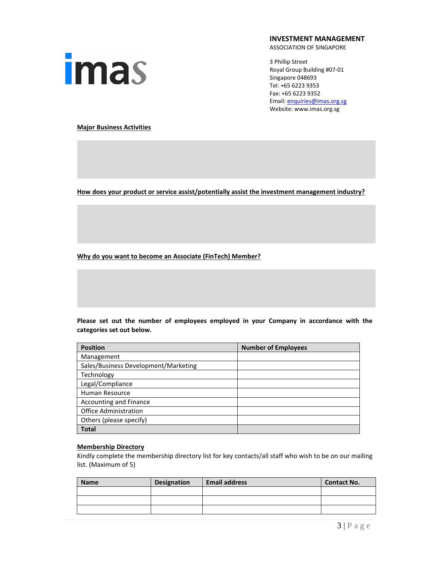

**INVESTMENT MANAGEMENT**

ASSOCIATION OF SINGAPORE

3 Phillip Street Royal Group Building #07-01 Singapore 048693 Tel: +65 6223 9353 Fax: +65 6223 9352 Email[: enquiries@imas.org.sg](mailto:enquiries@imas.org.sg) Website: www.imas.org.sg

**Major Business Activities**

**How does your product or service assist/potentially assist the investment management industry?**

**Why do you want to become an Associate (FinTech) Member?**

**Please set out the number of employees employed in your Company in accordance with the categories set out below.**

| <b>Position</b>                      | <b>Number of Employees</b> |
|--------------------------------------|----------------------------|
| Management                           |                            |
| Sales/Business Development/Marketing |                            |
| Technology                           |                            |
| Legal/Compliance                     |                            |
| Human Resource                       |                            |
| <b>Accounting and Finance</b>        |                            |
| <b>Office Administration</b>         |                            |
| Others (please specify)              |                            |
| <b>Total</b>                         |                            |

### **Membership Directory**

Kindly complete the membership directory list for key contacts/all staff who wish to be on our mailing list. (Maximum of 5)

| <b>Name</b> | <b>Designation</b> | <b>Email address</b> | <b>Contact No.</b> |
|-------------|--------------------|----------------------|--------------------|
|             |                    |                      |                    |
|             |                    |                      |                    |
|             |                    |                      |                    |